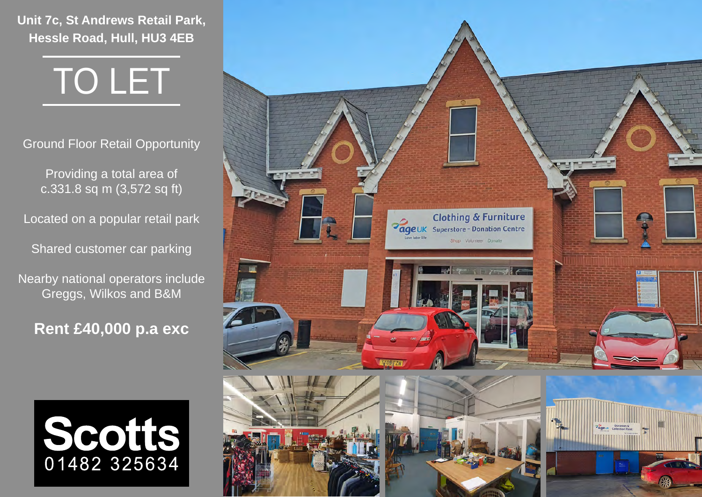**Unit 7c, St Andrews Retail Park, Hessle Road, Hull, HU3 4EB**

# TO LET

Ground Floor Retail Opportunity

Providing a total area of c.331.8 sq m (3,572 sq ft)

Located on a popular retail park

Shared customer car parking

Nearby national operators include Greggs, Wilkos and B&M

**Rent £40,000 p.a exc**